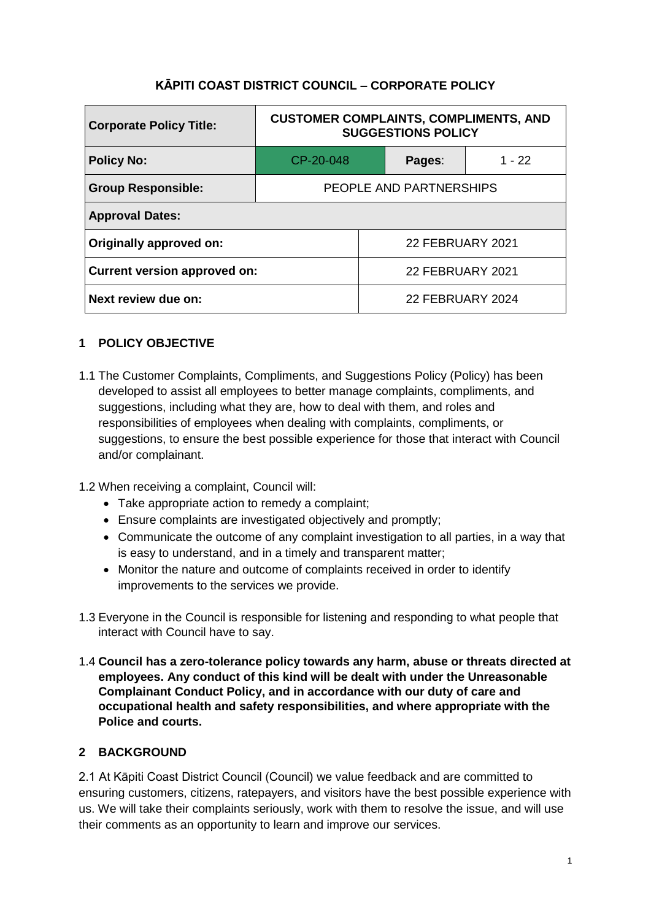# **KĀPITI COAST DISTRICT COUNCIL – CORPORATE POLICY**

| <b>Corporate Policy Title:</b>      | <b>CUSTOMER COMPLAINTS, COMPLIMENTS, AND</b><br><b>SUGGESTIONS POLICY</b> |                         |        |          |
|-------------------------------------|---------------------------------------------------------------------------|-------------------------|--------|----------|
| <b>Policy No:</b>                   | CP-20-048                                                                 |                         | Pages: | $1 - 22$ |
| <b>Group Responsible:</b>           | PEOPLE AND PARTNERSHIPS                                                   |                         |        |          |
| <b>Approval Dates:</b>              |                                                                           |                         |        |          |
| Originally approved on:             |                                                                           | <b>22 FEBRUARY 2021</b> |        |          |
| <b>Current version approved on:</b> |                                                                           | <b>22 FEBRUARY 2021</b> |        |          |
| Next review due on:                 |                                                                           | 22 FEBRUARY 2024        |        |          |

# **1 POLICY OBJECTIVE**

- 1.1 The Customer Complaints, Compliments, and Suggestions Policy (Policy) has been developed to assist all employees to better manage complaints, compliments, and suggestions, including what they are, how to deal with them, and roles and responsibilities of employees when dealing with complaints, compliments, or suggestions, to ensure the best possible experience for those that interact with Council and/or complainant.
- 1.2 When receiving a complaint, Council will:
	- Take appropriate action to remedy a complaint;
	- Ensure complaints are investigated objectively and promptly;
	- Communicate the outcome of any complaint investigation to all parties, in a way that is easy to understand, and in a timely and transparent matter;
	- Monitor the nature and outcome of complaints received in order to identify improvements to the services we provide.
- 1.3 Everyone in the Council is responsible for listening and responding to what people that interact with Council have to say.
- 1.4 **Council has a zero-tolerance policy towards any harm, abuse or threats directed at employees. Any conduct of this kind will be dealt with under the Unreasonable Complainant Conduct Policy, and in accordance with our duty of care and occupational health and safety responsibilities, and where appropriate with the Police and courts.**

## **2 BACKGROUND**

2.1 At Kāpiti Coast District Council (Council) we value feedback and are committed to ensuring customers, citizens, ratepayers, and visitors have the best possible experience with us. We will take their complaints seriously, work with them to resolve the issue, and will use their comments as an opportunity to learn and improve our services.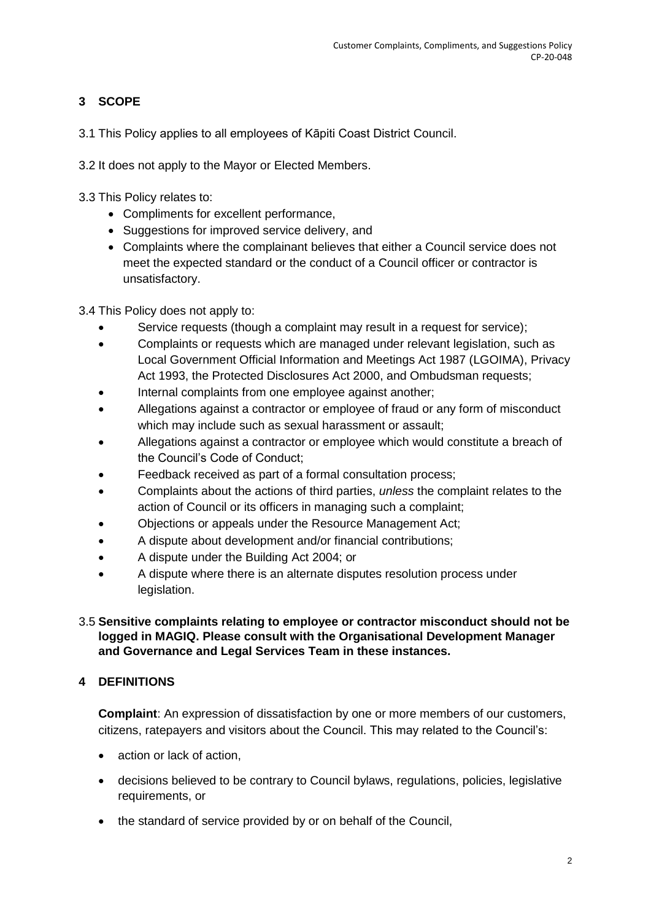# **3 SCOPE**

- 3.1 This Policy applies to all employees of Kāpiti Coast District Council.
- 3.2 It does not apply to the Mayor or Elected Members.
- 3.3 This Policy relates to:
	- Compliments for excellent performance,
	- Suggestions for improved service delivery, and
	- Complaints where the complainant believes that either a Council service does not meet the expected standard or the conduct of a Council officer or contractor is unsatisfactory.
- 3.4 This Policy does not apply to:
	- Service requests (though a complaint may result in a request for service);
	- Complaints or requests which are managed under relevant legislation, such as Local Government Official Information and Meetings Act 1987 (LGOIMA), Privacy Act 1993, the Protected Disclosures Act 2000, and Ombudsman requests;
	- Internal complaints from one employee against another;
	- Allegations against a contractor or employee of fraud or any form of misconduct which may include such as sexual harassment or assault;
	- Allegations against a contractor or employee which would constitute a breach of the Council's Code of Conduct;
	- Feedback received as part of a formal consultation process;
	- Complaints about the actions of third parties, *unless* the complaint relates to the action of Council or its officers in managing such a complaint;
	- Objections or appeals under the Resource Management Act;
	- A dispute about development and/or financial contributions;
	- A dispute under the Building Act 2004; or
	- A dispute where there is an alternate disputes resolution process under legislation.

## 3.5 **Sensitive complaints relating to employee or contractor misconduct should not be logged in MAGIQ. Please consult with the Organisational Development Manager and Governance and Legal Services Team in these instances.**

# **4 DEFINITIONS**

**Complaint:** An expression of dissatisfaction by one or more members of our customers, citizens, ratepayers and visitors about the Council. This may related to the Council's:

- action or lack of action,
- decisions believed to be contrary to Council bylaws, regulations, policies, legislative requirements, or
- the standard of service provided by or on behalf of the Council,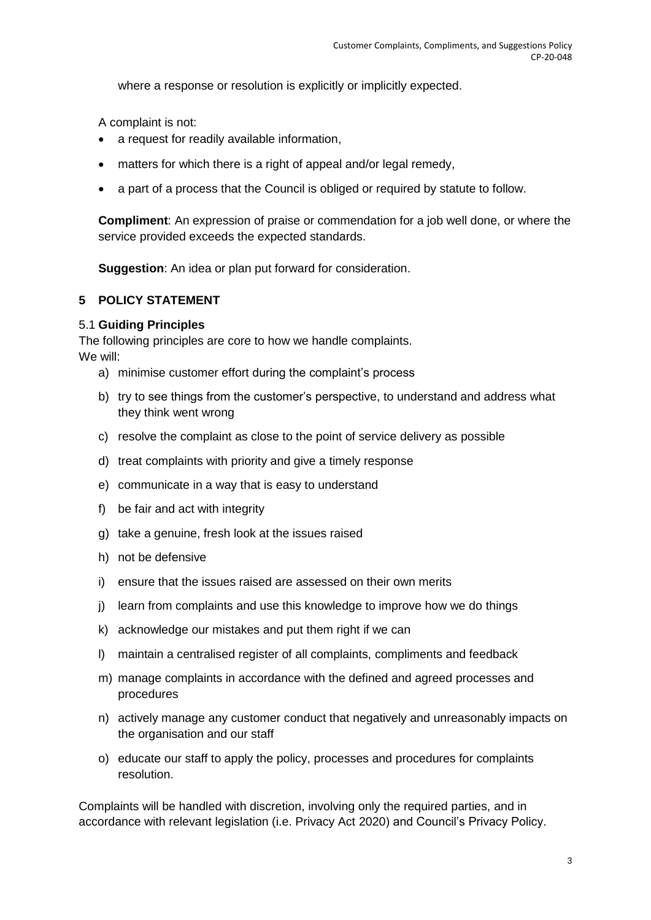where a response or resolution is explicitly or implicitly expected.

A complaint is not:

- a request for readily available information,
- matters for which there is a right of appeal and/or legal remedy,
- a part of a process that the Council is obliged or required by statute to follow.

**Compliment**: An expression of praise or commendation for a job well done, or where the service provided exceeds the expected standards.

**Suggestion**: An idea or plan put forward for consideration.

## **5 POLICY STATEMENT**

#### 5.1 **Guiding Principles**

The following principles are core to how we handle complaints. We will:

- a) minimise customer effort during the complaint's process
- b) try to see things from the customer's perspective, to understand and address what they think went wrong
- c) resolve the complaint as close to the point of service delivery as possible
- d) treat complaints with priority and give a timely response
- e) communicate in a way that is easy to understand
- f) be fair and act with integrity
- g) take a genuine, fresh look at the issues raised
- h) not be defensive
- i) ensure that the issues raised are assessed on their own merits
- j) learn from complaints and use this knowledge to improve how we do things
- k) acknowledge our mistakes and put them right if we can
- l) maintain a centralised register of all complaints, compliments and feedback
- m) manage complaints in accordance with the defined and agreed processes and procedures
- n) actively manage any customer conduct that negatively and unreasonably impacts on the organisation and our staff
- o) educate our staff to apply the policy, processes and procedures for complaints resolution.

Complaints will be handled with discretion, involving only the required parties, and in accordance with relevant legislation (i.e. Privacy Act 2020) and Council's Privacy Policy.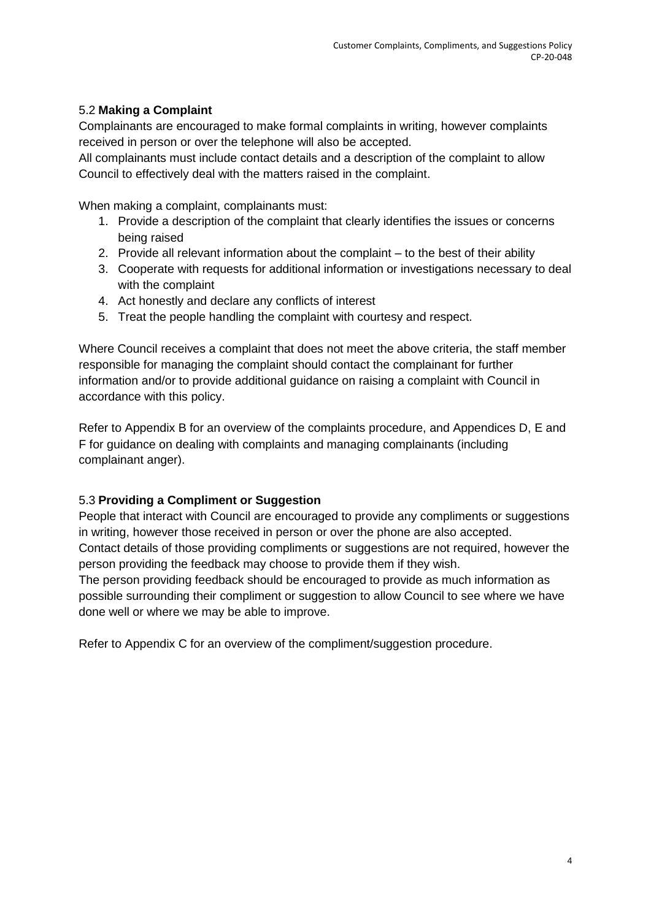## 5.2 **Making a Complaint**

Complainants are encouraged to make formal complaints in writing, however complaints received in person or over the telephone will also be accepted.

All complainants must include contact details and a description of the complaint to allow Council to effectively deal with the matters raised in the complaint.

When making a complaint, complainants must:

- 1. Provide a description of the complaint that clearly identifies the issues or concerns being raised
- 2. Provide all relevant information about the complaint to the best of their ability
- 3. Cooperate with requests for additional information or investigations necessary to deal with the complaint
- 4. Act honestly and declare any conflicts of interest
- 5. Treat the people handling the complaint with courtesy and respect.

Where Council receives a complaint that does not meet the above criteria, the staff member responsible for managing the complaint should contact the complainant for further information and/or to provide additional guidance on raising a complaint with Council in accordance with this policy.

Refer to Appendix B for an overview of the complaints procedure, and Appendices D, E and F for guidance on dealing with complaints and managing complainants (including complainant anger).

## 5.3 **Providing a Compliment or Suggestion**

People that interact with Council are encouraged to provide any compliments or suggestions in writing, however those received in person or over the phone are also accepted. Contact details of those providing compliments or suggestions are not required, however the person providing the feedback may choose to provide them if they wish.

The person providing feedback should be encouraged to provide as much information as possible surrounding their compliment or suggestion to allow Council to see where we have done well or where we may be able to improve.

Refer to Appendix C for an overview of the compliment/suggestion procedure.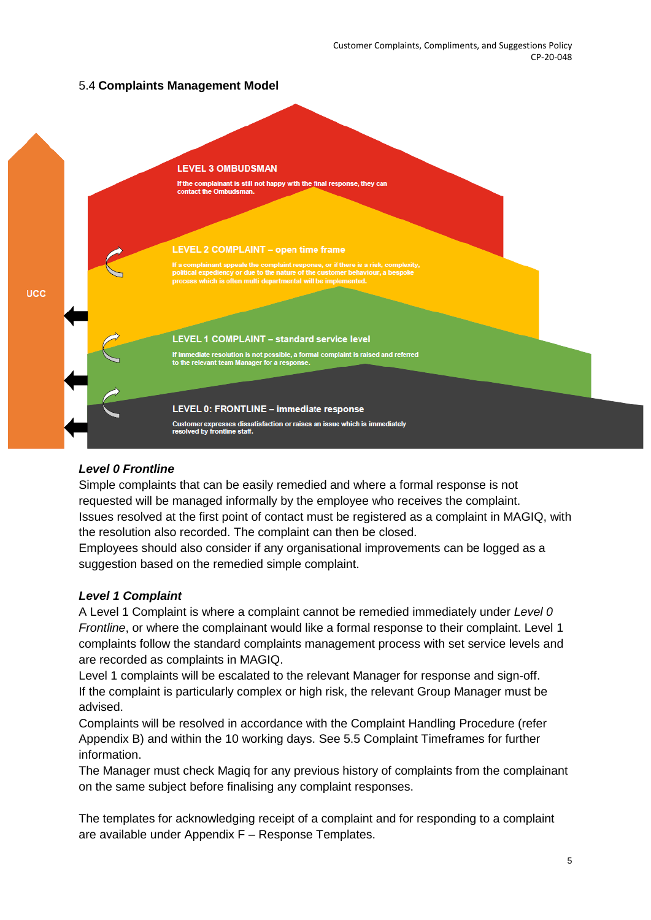# 5.4 **Complaints Management Model**



### *Level 0 Frontline*

Simple complaints that can be easily remedied and where a formal response is not requested will be managed informally by the employee who receives the complaint. Issues resolved at the first point of contact must be registered as a complaint in MAGIQ, with the resolution also recorded. The complaint can then be closed.

Employees should also consider if any organisational improvements can be logged as a suggestion based on the remedied simple complaint.

### *Level 1 Complaint*

A Level 1 Complaint is where a complaint cannot be remedied immediately under *Level 0 Frontline*, or where the complainant would like a formal response to their complaint. Level 1 complaints follow the standard complaints management process with set service levels and are recorded as complaints in MAGIQ.

Level 1 complaints will be escalated to the relevant Manager for response and sign-off. If the complaint is particularly complex or high risk, the relevant Group Manager must be advised.

Complaints will be resolved in accordance with the Complaint Handling Procedure (refer Appendix B) and within the 10 working days. See 5.5 Complaint Timeframes for further information.

The Manager must check Magiq for any previous history of complaints from the complainant on the same subject before finalising any complaint responses.

The templates for acknowledging receipt of a complaint and for responding to a complaint are available under Appendix F – Response Templates.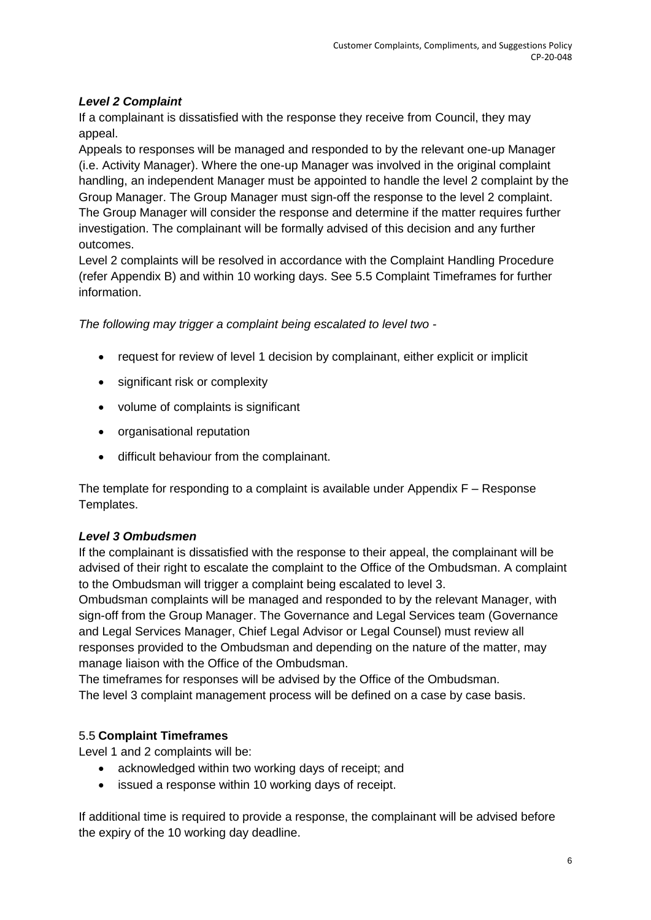# *Level 2 Complaint*

If a complainant is dissatisfied with the response they receive from Council, they may appeal.

Appeals to responses will be managed and responded to by the relevant one-up Manager (i.e. Activity Manager). Where the one-up Manager was involved in the original complaint handling, an independent Manager must be appointed to handle the level 2 complaint by the Group Manager. The Group Manager must sign-off the response to the level 2 complaint. The Group Manager will consider the response and determine if the matter requires further investigation. The complainant will be formally advised of this decision and any further outcomes.

Level 2 complaints will be resolved in accordance with the Complaint Handling Procedure (refer Appendix B) and within 10 working days. See 5.5 Complaint Timeframes for further information.

*The following may trigger a complaint being escalated to level two -*

- request for review of level 1 decision by complainant, either explicit or implicit
- significant risk or complexity
- volume of complaints is significant
- organisational reputation
- difficult behaviour from the complainant.

The template for responding to a complaint is available under Appendix F – Response Templates.

### *Level 3 Ombudsmen*

If the complainant is dissatisfied with the response to their appeal, the complainant will be advised of their right to escalate the complaint to the Office of the Ombudsman. A complaint to the Ombudsman will trigger a complaint being escalated to level 3.

Ombudsman complaints will be managed and responded to by the relevant Manager, with sign-off from the Group Manager. The Governance and Legal Services team (Governance and Legal Services Manager, Chief Legal Advisor or Legal Counsel) must review all responses provided to the Ombudsman and depending on the nature of the matter, may manage liaison with the Office of the Ombudsman.

The timeframes for responses will be advised by the Office of the Ombudsman. The level 3 complaint management process will be defined on a case by case basis.

## 5.5 **Complaint Timeframes**

Level 1 and 2 complaints will be:

- acknowledged within two working days of receipt; and
- issued a response within 10 working days of receipt.

If additional time is required to provide a response, the complainant will be advised before the expiry of the 10 working day deadline.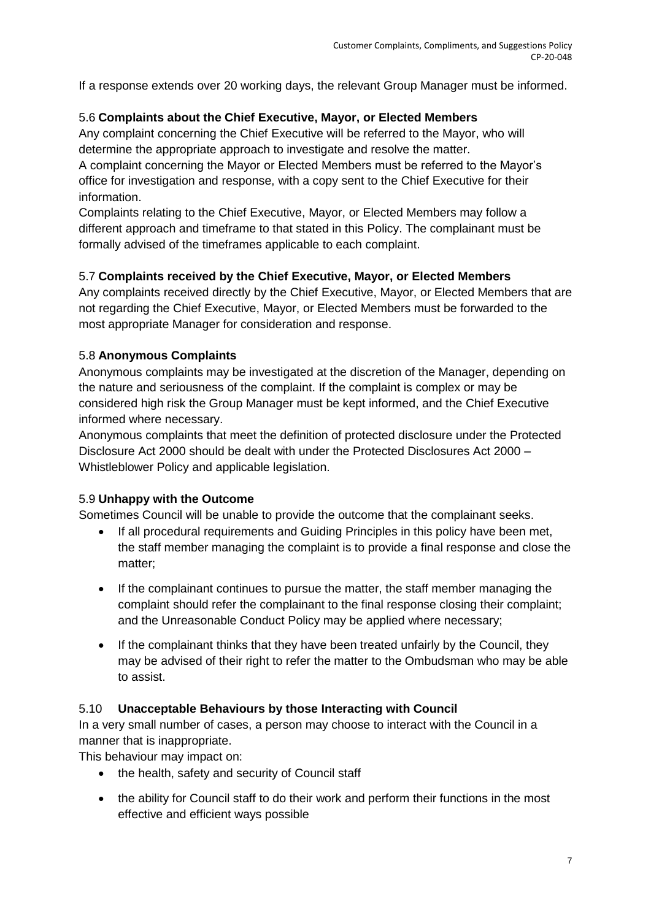If a response extends over 20 working days, the relevant Group Manager must be informed.

## 5.6 **Complaints about the Chief Executive, Mayor, or Elected Members**

Any complaint concerning the Chief Executive will be referred to the Mayor, who will determine the appropriate approach to investigate and resolve the matter.

A complaint concerning the Mayor or Elected Members must be referred to the Mayor's office for investigation and response, with a copy sent to the Chief Executive for their information.

Complaints relating to the Chief Executive, Mayor, or Elected Members may follow a different approach and timeframe to that stated in this Policy. The complainant must be formally advised of the timeframes applicable to each complaint.

## 5.7 **Complaints received by the Chief Executive, Mayor, or Elected Members**

Any complaints received directly by the Chief Executive, Mayor, or Elected Members that are not regarding the Chief Executive, Mayor, or Elected Members must be forwarded to the most appropriate Manager for consideration and response.

# 5.8 **Anonymous Complaints**

Anonymous complaints may be investigated at the discretion of the Manager, depending on the nature and seriousness of the complaint. If the complaint is complex or may be considered high risk the Group Manager must be kept informed, and the Chief Executive informed where necessary.

Anonymous complaints that meet the definition of protected disclosure under the Protected Disclosure Act 2000 should be dealt with under the Protected Disclosures Act 2000 – Whistleblower Policy and applicable legislation.

## 5.9 **Unhappy with the Outcome**

Sometimes Council will be unable to provide the outcome that the complainant seeks.

- If all procedural requirements and Guiding Principles in this policy have been met, the staff member managing the complaint is to provide a final response and close the matter;
- If the complainant continues to pursue the matter, the staff member managing the complaint should refer the complainant to the final response closing their complaint; and the Unreasonable Conduct Policy may be applied where necessary;
- If the complainant thinks that they have been treated unfairly by the Council, they may be advised of their right to refer the matter to the Ombudsman who may be able to assist.

## 5.10 **Unacceptable Behaviours by those Interacting with Council**

In a very small number of cases, a person may choose to interact with the Council in a manner that is inappropriate.

This behaviour may impact on:

- the health, safety and security of Council staff
- the ability for Council staff to do their work and perform their functions in the most effective and efficient ways possible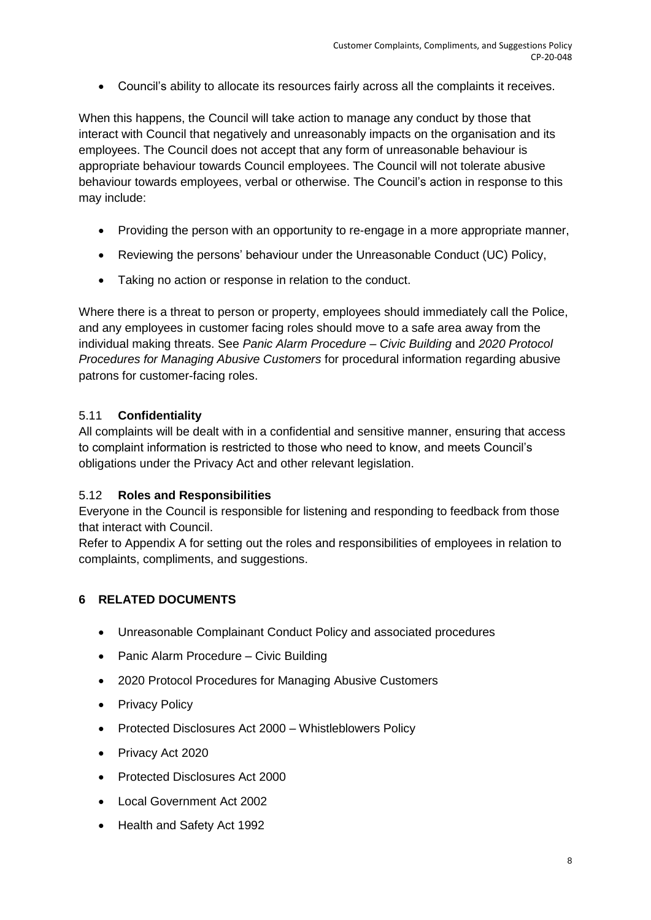Council's ability to allocate its resources fairly across all the complaints it receives.

When this happens, the Council will take action to manage any conduct by those that interact with Council that negatively and unreasonably impacts on the organisation and its employees. The Council does not accept that any form of unreasonable behaviour is appropriate behaviour towards Council employees. The Council will not tolerate abusive behaviour towards employees, verbal or otherwise. The Council's action in response to this may include:

- Providing the person with an opportunity to re-engage in a more appropriate manner,
- Reviewing the persons' behaviour under the Unreasonable Conduct (UC) Policy,
- Taking no action or response in relation to the conduct.

Where there is a threat to person or property, employees should immediately call the Police, and any employees in customer facing roles should move to a safe area away from the individual making threats. See *Panic Alarm Procedure – Civic Building* and *2020 Protocol Procedures for Managing Abusive Customers* for procedural information regarding abusive patrons for customer-facing roles.

## 5.11 **Confidentiality**

All complaints will be dealt with in a confidential and sensitive manner, ensuring that access to complaint information is restricted to those who need to know, and meets Council's obligations under the Privacy Act and other relevant legislation.

### 5.12 **Roles and Responsibilities**

Everyone in the Council is responsible for listening and responding to feedback from those that interact with Council.

Refer to Appendix A for setting out the roles and responsibilities of employees in relation to complaints, compliments, and suggestions.

## **6 RELATED DOCUMENTS**

- Unreasonable Complainant Conduct Policy and associated procedures
- Panic Alarm Procedure Civic Building
- 2020 Protocol Procedures for Managing Abusive Customers
- Privacy Policy
- Protected Disclosures Act 2000 Whistleblowers Policy
- Privacy Act 2020
- Protected Disclosures Act 2000
- Local Government Act 2002
- Health and Safety Act 1992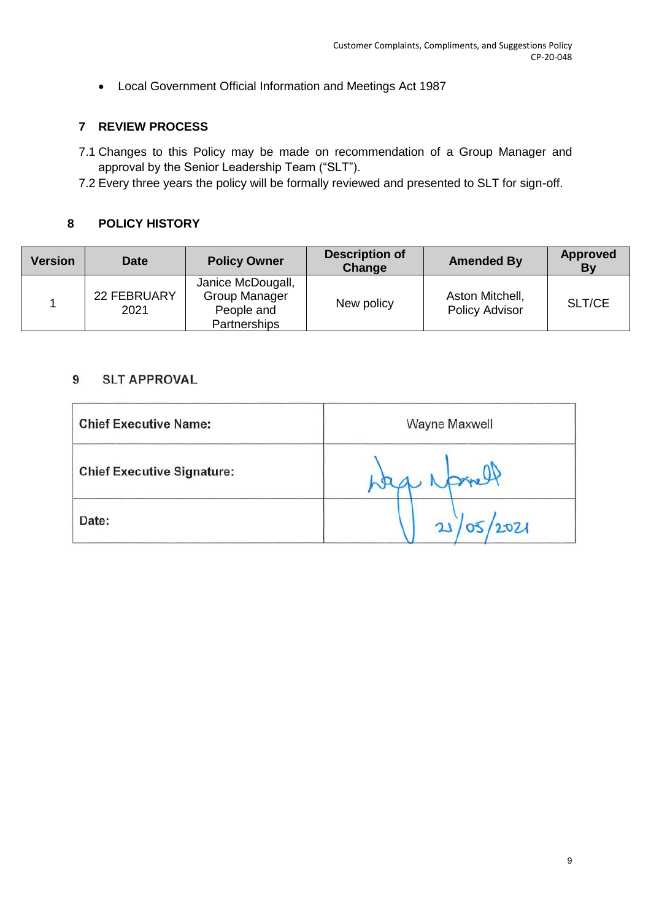Local Government Official Information and Meetings Act 1987

## **7 REVIEW PROCESS**

- 7.1 Changes to this Policy may be made on recommendation of a Group Manager and approval by the Senior Leadership Team ("SLT").
- 7.2 Every three years the policy will be formally reviewed and presented to SLT for sign-off.

# **8 POLICY HISTORY**

| <b>Version</b> | <b>Date</b>         | <b>Policy Owner</b>                                                     | <b>Description of</b><br>Change | <b>Amended By</b>                        | <b>Approved</b><br>Βv |
|----------------|---------------------|-------------------------------------------------------------------------|---------------------------------|------------------------------------------|-----------------------|
|                | 22 FEBRUARY<br>2021 | Janice McDougall,<br>Group Manager<br>People and<br><b>Partnerships</b> | New policy                      | Aston Mitchell,<br><b>Policy Advisor</b> | SLT/CE                |

#### **SLT APPROVAL** 9

| <b>Chief Executive Name:</b>      | Wayne Maxwell |
|-----------------------------------|---------------|
| <b>Chief Executive Signature:</b> | gre           |
| Date:                             | 12021         |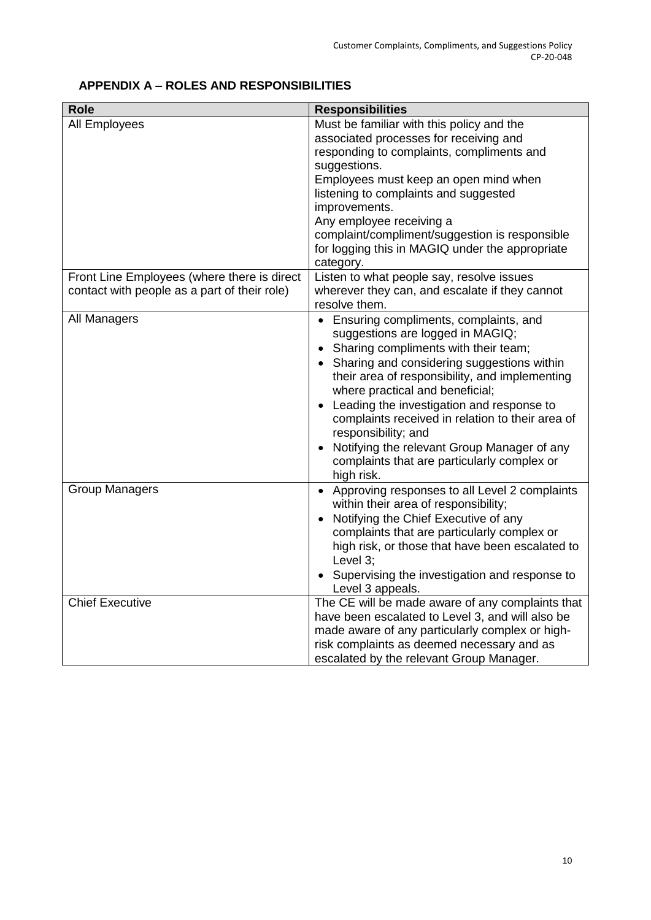# **APPENDIX A – ROLES AND RESPONSIBILITIES**

| <b>Role</b>                                  | <b>Responsibilities</b>                                  |
|----------------------------------------------|----------------------------------------------------------|
| <b>All Employees</b>                         | Must be familiar with this policy and the                |
|                                              | associated processes for receiving and                   |
|                                              | responding to complaints, compliments and                |
|                                              | suggestions.                                             |
|                                              | Employees must keep an open mind when                    |
|                                              | listening to complaints and suggested                    |
|                                              | improvements.                                            |
|                                              | Any employee receiving a                                 |
|                                              | complaint/compliment/suggestion is responsible           |
|                                              | for logging this in MAGIQ under the appropriate          |
|                                              | category.                                                |
| Front Line Employees (where there is direct  | Listen to what people say, resolve issues                |
| contact with people as a part of their role) | wherever they can, and escalate if they cannot           |
|                                              | resolve them.                                            |
| All Managers                                 | • Ensuring compliments, complaints, and                  |
|                                              | suggestions are logged in MAGIQ;                         |
|                                              | • Sharing compliments with their team;                   |
|                                              | • Sharing and considering suggestions within             |
|                                              | their area of responsibility, and implementing           |
|                                              | where practical and beneficial;                          |
|                                              | Leading the investigation and response to<br>$\bullet$   |
|                                              | complaints received in relation to their area of         |
|                                              | responsibility; and                                      |
|                                              | Notifying the relevant Group Manager of any<br>$\bullet$ |
|                                              | complaints that are particularly complex or              |
|                                              | high risk.                                               |
| <b>Group Managers</b>                        | • Approving responses to all Level 2 complaints          |
|                                              | within their area of responsibility;                     |
|                                              | Notifying the Chief Executive of any<br>$\bullet$        |
|                                              | complaints that are particularly complex or              |
|                                              | high risk, or those that have been escalated to          |
|                                              | Level 3;                                                 |
|                                              | Supervising the investigation and response to            |
|                                              | Level 3 appeals.                                         |
| <b>Chief Executive</b>                       | The CE will be made aware of any complaints that         |
|                                              | have been escalated to Level 3, and will also be         |
|                                              | made aware of any particularly complex or high-          |
|                                              | risk complaints as deemed necessary and as               |
|                                              | escalated by the relevant Group Manager.                 |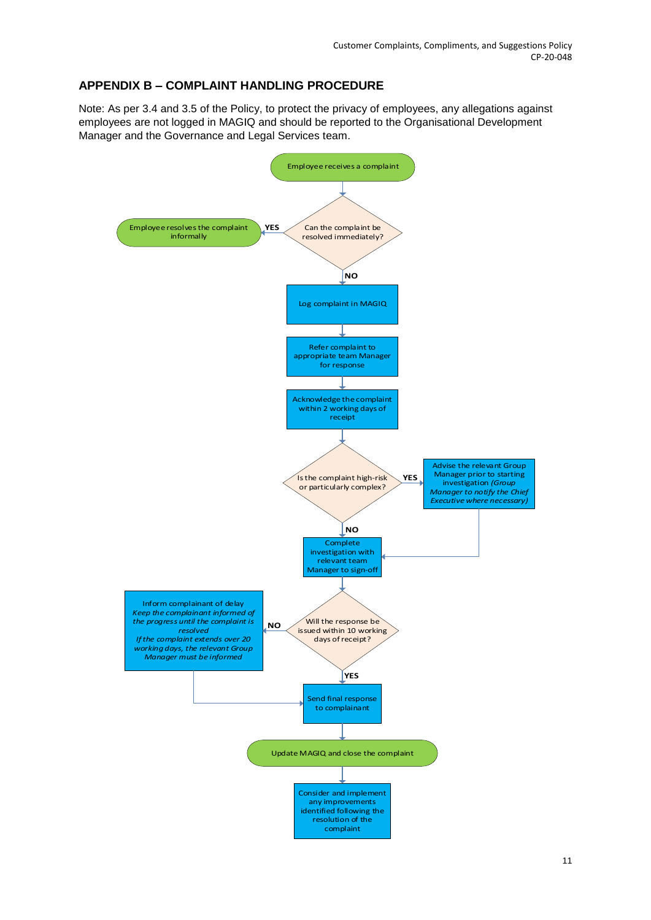# **APPENDIX B – COMPLAINT HANDLING PROCEDURE**

Note: As per 3.4 and 3.5 of the Policy, to protect the privacy of employees, any allegations against employees are not logged in MAGIQ and should be reported to the Organisational Development Manager and the Governance and Legal Services team.

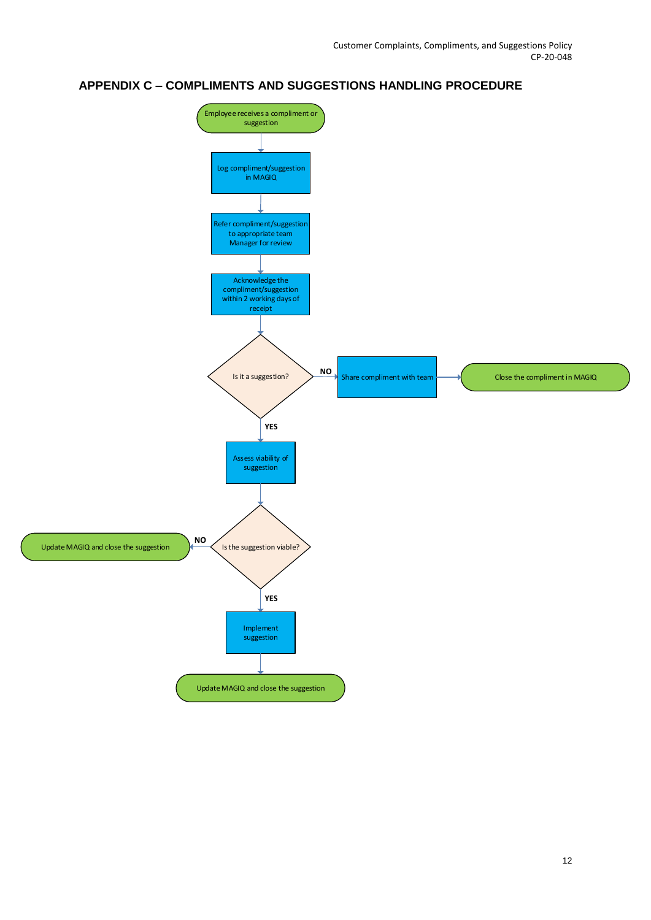## **APPENDIX C – COMPLIMENTS AND SUGGESTIONS HANDLING PROCEDURE**

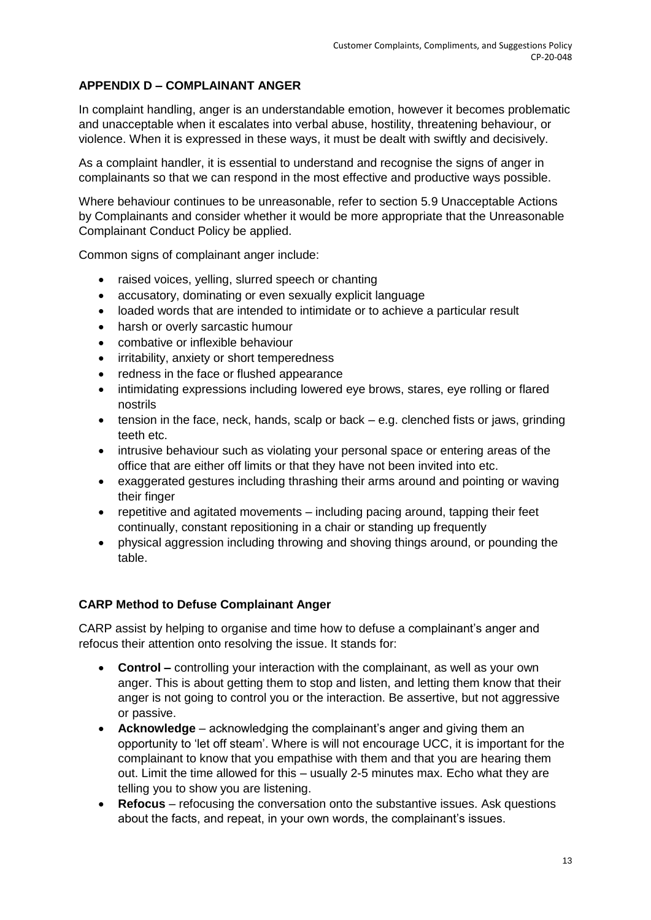# **APPENDIX D – COMPLAINANT ANGER**

In complaint handling, anger is an understandable emotion, however it becomes problematic and unacceptable when it escalates into verbal abuse, hostility, threatening behaviour, or violence. When it is expressed in these ways, it must be dealt with swiftly and decisively.

As a complaint handler, it is essential to understand and recognise the signs of anger in complainants so that we can respond in the most effective and productive ways possible.

Where behaviour continues to be unreasonable, refer to section 5.9 Unacceptable Actions by Complainants and consider whether it would be more appropriate that the Unreasonable Complainant Conduct Policy be applied.

Common signs of complainant anger include:

- raised voices, yelling, slurred speech or chanting
- accusatory, dominating or even sexually explicit language
- loaded words that are intended to intimidate or to achieve a particular result
- harsh or overly sarcastic humour
- combative or inflexible behaviour
- irritability, anxiety or short temperedness
- redness in the face or flushed appearance
- intimidating expressions including lowered eye brows, stares, eye rolling or flared nostrils
- $\bullet$  tension in the face, neck, hands, scalp or back  $-$  e.g. clenched fists or jaws, grinding teeth etc.
- intrusive behaviour such as violating your personal space or entering areas of the office that are either off limits or that they have not been invited into etc.
- exaggerated gestures including thrashing their arms around and pointing or waving their finger
- repetitive and agitated movements including pacing around, tapping their feet continually, constant repositioning in a chair or standing up frequently
- physical aggression including throwing and shoving things around, or pounding the table.

### **CARP Method to Defuse Complainant Anger**

CARP assist by helping to organise and time how to defuse a complainant's anger and refocus their attention onto resolving the issue. It stands for:

- **Control –** controlling your interaction with the complainant, as well as your own anger. This is about getting them to stop and listen, and letting them know that their anger is not going to control you or the interaction. Be assertive, but not aggressive or passive.
- **Acknowledge** acknowledging the complainant's anger and giving them an opportunity to 'let off steam'. Where is will not encourage UCC, it is important for the complainant to know that you empathise with them and that you are hearing them out. Limit the time allowed for this – usually 2-5 minutes max. Echo what they are telling you to show you are listening.
- **Refocus** refocusing the conversation onto the substantive issues. Ask questions about the facts, and repeat, in your own words, the complainant's issues.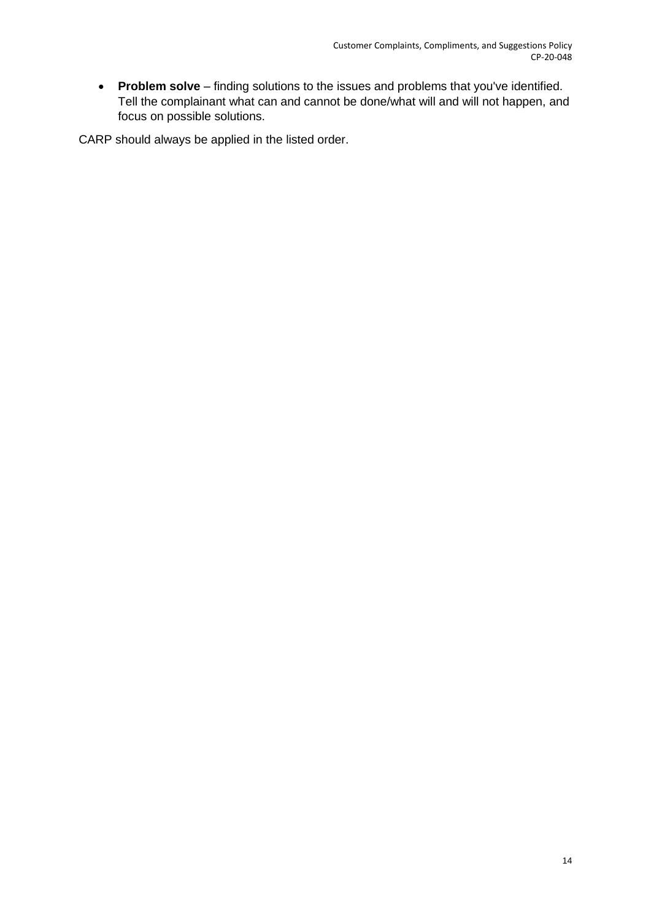**Problem solve** – finding solutions to the issues and problems that you've identified. Tell the complainant what can and cannot be done/what will and will not happen, and focus on possible solutions.

CARP should always be applied in the listed order.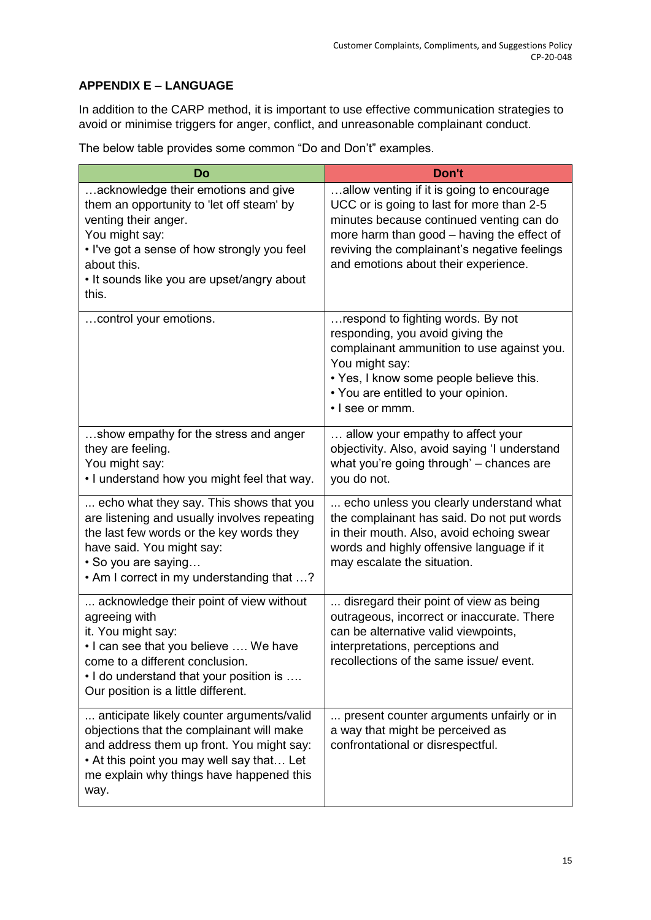# **APPENDIX E – LANGUAGE**

In addition to the CARP method, it is important to use effective communication strategies to avoid or minimise triggers for anger, conflict, and unreasonable complainant conduct.

The below table provides some common "Do and Don't" examples.

| Do                                                                                                                                                                                                                                              | Don't                                                                                                                                                                                                                                                                    |
|-------------------------------------------------------------------------------------------------------------------------------------------------------------------------------------------------------------------------------------------------|--------------------------------------------------------------------------------------------------------------------------------------------------------------------------------------------------------------------------------------------------------------------------|
| acknowledge their emotions and give<br>them an opportunity to 'let off steam' by<br>venting their anger.<br>You might say:<br>. I've got a sense of how strongly you feel<br>about this.<br>• It sounds like you are upset/angry about<br>this. | allow venting if it is going to encourage<br>UCC or is going to last for more than 2-5<br>minutes because continued venting can do<br>more harm than good - having the effect of<br>reviving the complainant's negative feelings<br>and emotions about their experience. |
| control your emotions.                                                                                                                                                                                                                          | respond to fighting words. By not<br>responding, you avoid giving the<br>complainant ammunition to use against you.<br>You might say:<br>• Yes, I know some people believe this.<br>• You are entitled to your opinion.<br>· I see or mmm.                               |
| show empathy for the stress and anger<br>they are feeling.<br>You might say:<br>. I understand how you might feel that way.                                                                                                                     | allow your empathy to affect your<br>objectivity. Also, avoid saying 'I understand<br>what you're going through' - chances are<br>you do not.                                                                                                                            |
| echo what they say. This shows that you<br>are listening and usually involves repeating<br>the last few words or the key words they<br>have said. You might say:<br>• So you are saying<br>• Am I correct in my understanding that ?            | echo unless you clearly understand what<br>the complainant has said. Do not put words<br>in their mouth. Also, avoid echoing swear<br>words and highly offensive language if it<br>may escalate the situation.                                                           |
| acknowledge their point of view without<br>agreeing with<br>it. You might say:<br>• I can see that you believe  We have<br>come to a different conclusion.<br>. I do understand that your position is<br>Our position is a little different.    | disregard their point of view as being<br>outrageous, incorrect or inaccurate. There<br>can be alternative valid viewpoints,<br>interpretations, perceptions and<br>recollections of the same issue/event.                                                               |
| anticipate likely counter arguments/valid<br>objections that the complainant will make<br>and address them up front. You might say:<br>• At this point you may well say that Let<br>me explain why things have happened this<br>way.            | present counter arguments unfairly or in<br>a way that might be perceived as<br>confrontational or disrespectful.                                                                                                                                                        |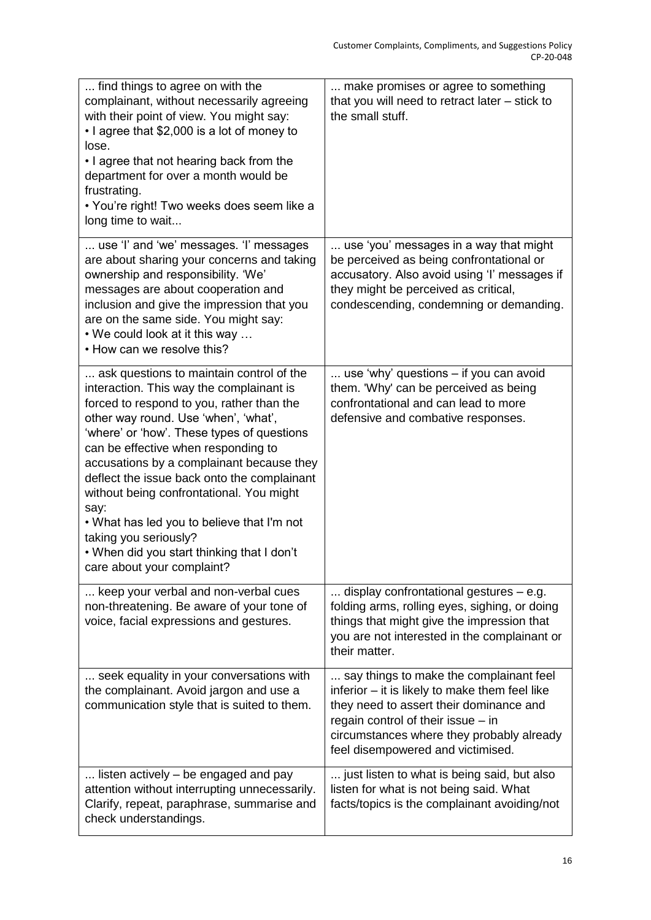| find things to agree on with the<br>complainant, without necessarily agreeing<br>with their point of view. You might say:<br>• I agree that \$2,000 is a lot of money to<br>lose.<br>• I agree that not hearing back from the<br>department for over a month would be<br>frustrating.<br>• You're right! Two weeks does seem like a<br>long time to wait                                                                                                                                                                                                          | make promises or agree to something<br>that you will need to retract later - stick to<br>the small stuff.                                                                                                                                                    |
|-------------------------------------------------------------------------------------------------------------------------------------------------------------------------------------------------------------------------------------------------------------------------------------------------------------------------------------------------------------------------------------------------------------------------------------------------------------------------------------------------------------------------------------------------------------------|--------------------------------------------------------------------------------------------------------------------------------------------------------------------------------------------------------------------------------------------------------------|
| use 'l' and 'we' messages. 'l' messages<br>are about sharing your concerns and taking<br>ownership and responsibility. 'We'<br>messages are about cooperation and<br>inclusion and give the impression that you<br>are on the same side. You might say:<br>• We could look at it this way<br>• How can we resolve this?                                                                                                                                                                                                                                           | use 'you' messages in a way that might<br>be perceived as being confrontational or<br>accusatory. Also avoid using 'I' messages if<br>they might be perceived as critical,<br>condescending, condemning or demanding.                                        |
| ask questions to maintain control of the<br>interaction. This way the complainant is<br>forced to respond to you, rather than the<br>other way round. Use 'when', 'what',<br>'where' or 'how'. These types of questions<br>can be effective when responding to<br>accusations by a complainant because they<br>deflect the issue back onto the complainant<br>without being confrontational. You might<br>say:<br>. What has led you to believe that I'm not<br>taking you seriously?<br>. When did you start thinking that I don't<br>care about your complaint? | use 'why' questions – if you can avoid<br>them. 'Why' can be perceived as being<br>confrontational and can lead to more<br>defensive and combative responses.                                                                                                |
| keep your verbal and non-verbal cues<br>non-threatening. Be aware of your tone of<br>voice, facial expressions and gestures.                                                                                                                                                                                                                                                                                                                                                                                                                                      | display confrontational gestures $-$ e.g.<br>folding arms, rolling eyes, sighing, or doing<br>things that might give the impression that<br>you are not interested in the complainant or<br>their matter.                                                    |
| seek equality in your conversations with<br>the complainant. Avoid jargon and use a<br>communication style that is suited to them.                                                                                                                                                                                                                                                                                                                                                                                                                                | say things to make the complainant feel<br>inferior - it is likely to make them feel like<br>they need to assert their dominance and<br>regain control of their issue - in<br>circumstances where they probably already<br>feel disempowered and victimised. |
| listen actively – be engaged and pay<br>attention without interrupting unnecessarily.<br>Clarify, repeat, paraphrase, summarise and<br>check understandings.                                                                                                                                                                                                                                                                                                                                                                                                      | just listen to what is being said, but also<br>listen for what is not being said. What<br>facts/topics is the complainant avoiding/not                                                                                                                       |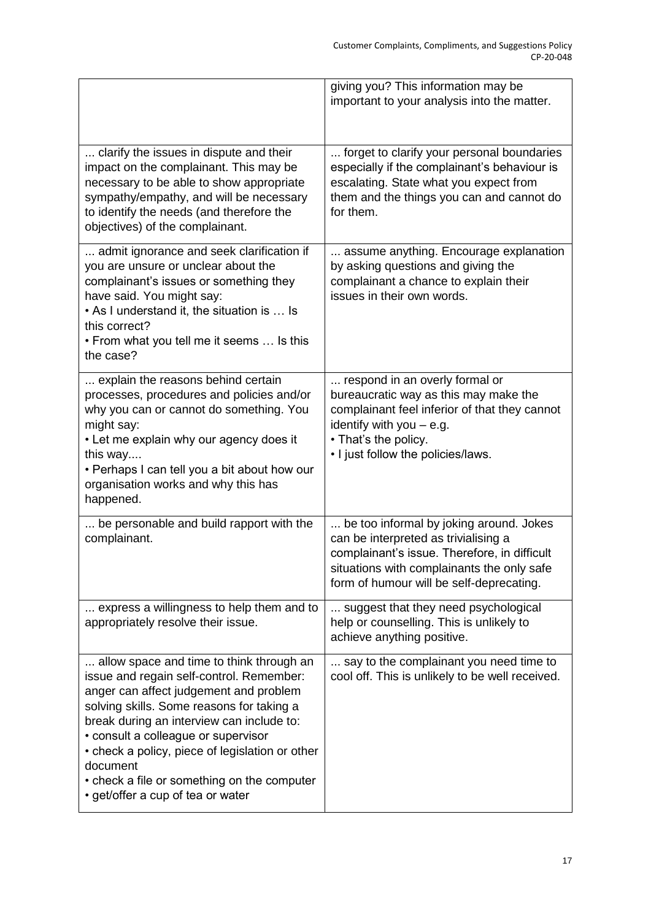|                                                                                                                                                                                                                                                                                                                                                                                                                    | giving you? This information may be<br>important to your analysis into the matter.                                                                                                                                        |
|--------------------------------------------------------------------------------------------------------------------------------------------------------------------------------------------------------------------------------------------------------------------------------------------------------------------------------------------------------------------------------------------------------------------|---------------------------------------------------------------------------------------------------------------------------------------------------------------------------------------------------------------------------|
| clarify the issues in dispute and their<br>impact on the complainant. This may be<br>necessary to be able to show appropriate<br>sympathy/empathy, and will be necessary<br>to identify the needs (and therefore the<br>objectives) of the complainant.                                                                                                                                                            | forget to clarify your personal boundaries<br>especially if the complainant's behaviour is<br>escalating. State what you expect from<br>them and the things you can and cannot do<br>for them.                            |
| admit ignorance and seek clarification if<br>you are unsure or unclear about the<br>complainant's issues or something they<br>have said. You might say:<br>• As I understand it, the situation is  Is<br>this correct?<br>• From what you tell me it seems  Is this<br>the case?                                                                                                                                   | assume anything. Encourage explanation<br>by asking questions and giving the<br>complainant a chance to explain their<br>issues in their own words.                                                                       |
| explain the reasons behind certain<br>processes, procedures and policies and/or<br>why you can or cannot do something. You<br>might say:<br>• Let me explain why our agency does it<br>this way<br>• Perhaps I can tell you a bit about how our<br>organisation works and why this has<br>happened.                                                                                                                | respond in an overly formal or<br>bureaucratic way as this may make the<br>complainant feel inferior of that they cannot<br>identify with you $-$ e.g.<br>• That's the policy.<br>. I just follow the policies/laws.      |
| be personable and build rapport with the<br>complainant.                                                                                                                                                                                                                                                                                                                                                           | be too informal by joking around. Jokes<br>can be interpreted as trivialising a<br>complainant's issue. Therefore, in difficult<br>situations with complainants the only safe<br>form of humour will be self-deprecating. |
| express a willingness to help them and to<br>appropriately resolve their issue.                                                                                                                                                                                                                                                                                                                                    | suggest that they need psychological<br>help or counselling. This is unlikely to<br>achieve anything positive.                                                                                                            |
| allow space and time to think through an<br>issue and regain self-control. Remember:<br>anger can affect judgement and problem<br>solving skills. Some reasons for taking a<br>break during an interview can include to:<br>• consult a colleague or supervisor<br>• check a policy, piece of legislation or other<br>document<br>• check a file or something on the computer<br>• get/offer a cup of tea or water | say to the complainant you need time to<br>cool off. This is unlikely to be well received.                                                                                                                                |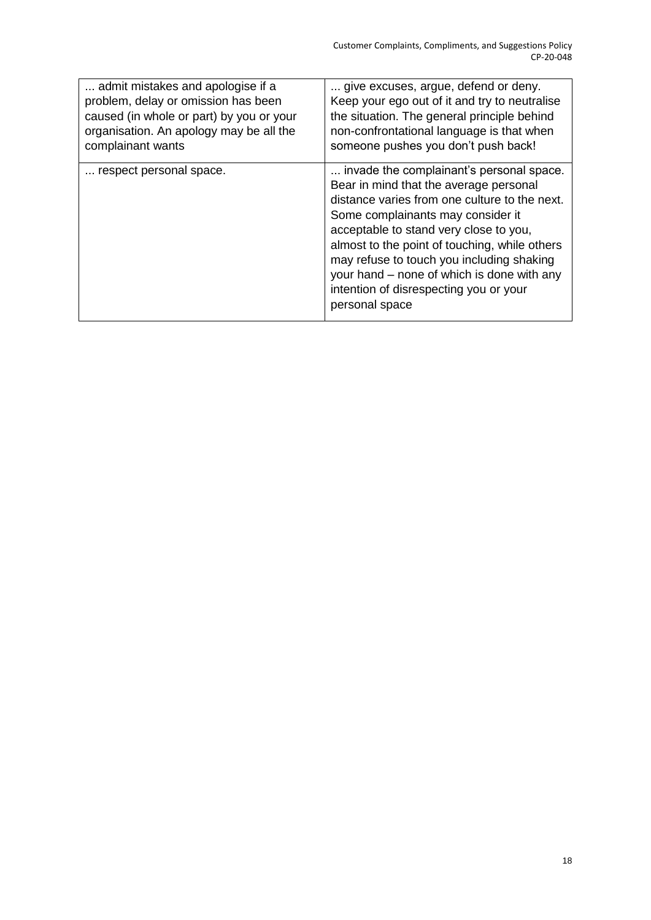| admit mistakes and apologise if a        | give excuses, argue, defend or deny.                                                                                                                                                                                                                                                                                                                                                                                       |
|------------------------------------------|----------------------------------------------------------------------------------------------------------------------------------------------------------------------------------------------------------------------------------------------------------------------------------------------------------------------------------------------------------------------------------------------------------------------------|
| problem, delay or omission has been      | Keep your ego out of it and try to neutralise                                                                                                                                                                                                                                                                                                                                                                              |
| caused (in whole or part) by you or your | the situation. The general principle behind                                                                                                                                                                                                                                                                                                                                                                                |
| organisation. An apology may be all the  | non-confrontational language is that when                                                                                                                                                                                                                                                                                                                                                                                  |
| complainant wants                        | someone pushes you don't push back!                                                                                                                                                                                                                                                                                                                                                                                        |
| respect personal space.                  | invade the complainant's personal space.<br>Bear in mind that the average personal<br>distance varies from one culture to the next.<br>Some complainants may consider it<br>acceptable to stand very close to you,<br>almost to the point of touching, while others<br>may refuse to touch you including shaking<br>your hand – none of which is done with any<br>intention of disrespecting you or your<br>personal space |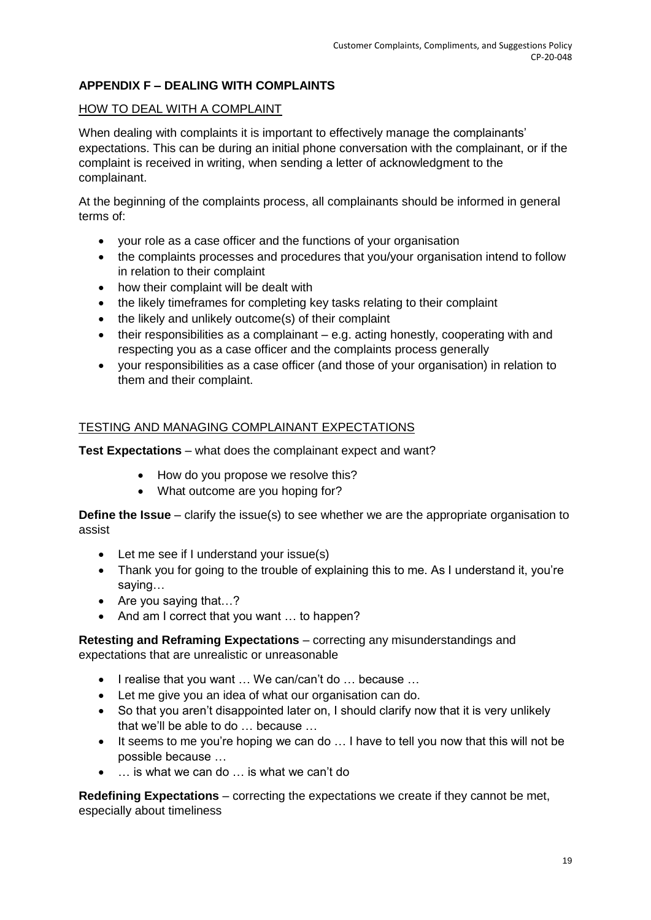# **APPENDIX F – DEALING WITH COMPLAINTS**

## HOW TO DEAL WITH A COMPLAINT

When dealing with complaints it is important to effectively manage the complainants' expectations. This can be during an initial phone conversation with the complainant, or if the complaint is received in writing, when sending a letter of acknowledgment to the complainant.

At the beginning of the complaints process, all complainants should be informed in general terms of:

- your role as a case officer and the functions of your organisation
- the complaints processes and procedures that you/your organisation intend to follow in relation to their complaint
- how their complaint will be dealt with
- the likely timeframes for completing key tasks relating to their complaint
- the likely and unlikely outcome(s) of their complaint
- $\bullet$  their responsibilities as a complainant e.g. acting honestly, cooperating with and respecting you as a case officer and the complaints process generally
- your responsibilities as a case officer (and those of your organisation) in relation to them and their complaint.

### TESTING AND MANAGING COMPLAINANT EXPECTATIONS

**Test Expectations** – what does the complainant expect and want?

- How do you propose we resolve this?
- What outcome are you hoping for?

**Define the Issue** – clarify the issue(s) to see whether we are the appropriate organisation to assist

- Let me see if I understand your issue(s)
- Thank you for going to the trouble of explaining this to me. As I understand it, you're saying…
- Are you saying that...?
- And am I correct that you want ... to happen?

**Retesting and Reframing Expectations** – correcting any misunderstandings and expectations that are unrealistic or unreasonable

- I realise that you want ... We can/can't do ... because ...
- Let me give you an idea of what our organisation can do.
- So that you aren't disappointed later on, I should clarify now that it is very unlikely that we'll be able to do … because …
- It seems to me you're hoping we can do ... I have to tell you now that this will not be possible because …
- … is what we can do … is what we can't do

**Redefining Expectations** – correcting the expectations we create if they cannot be met, especially about timeliness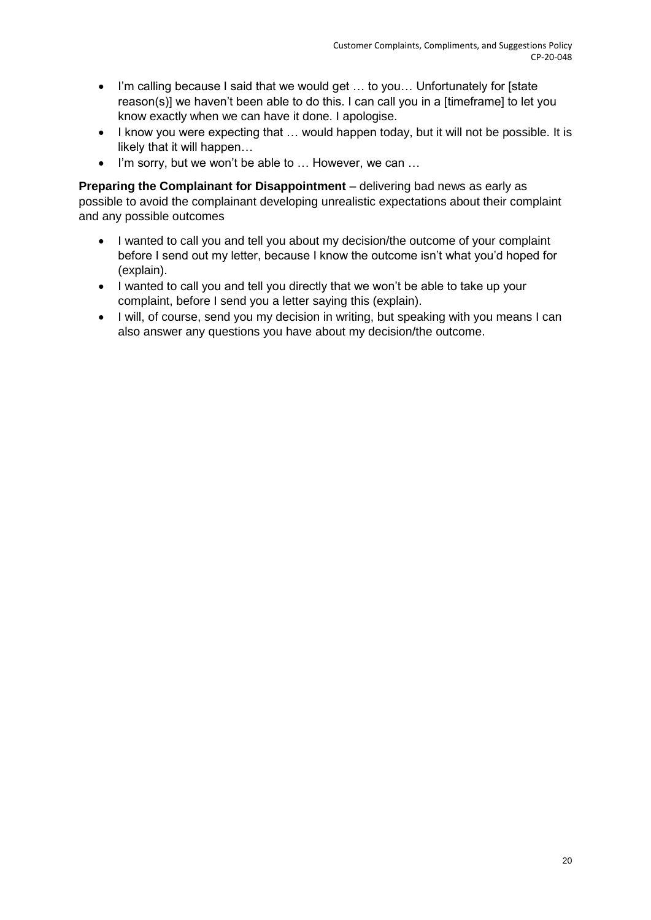- I'm calling because I said that we would get … to you… Unfortunately for [state reason(s)] we haven't been able to do this. I can call you in a [timeframe] to let you know exactly when we can have it done. I apologise.
- I know you were expecting that ... would happen today, but it will not be possible. It is likely that it will happen…
- I'm sorry, but we won't be able to ... However, we can ...

**Preparing the Complainant for Disappointment** – delivering bad news as early as possible to avoid the complainant developing unrealistic expectations about their complaint and any possible outcomes

- I wanted to call you and tell you about my decision/the outcome of your complaint before I send out my letter, because I know the outcome isn't what you'd hoped for (explain).
- I wanted to call you and tell you directly that we won't be able to take up your complaint, before I send you a letter saying this (explain).
- I will, of course, send you my decision in writing, but speaking with you means I can also answer any questions you have about my decision/the outcome.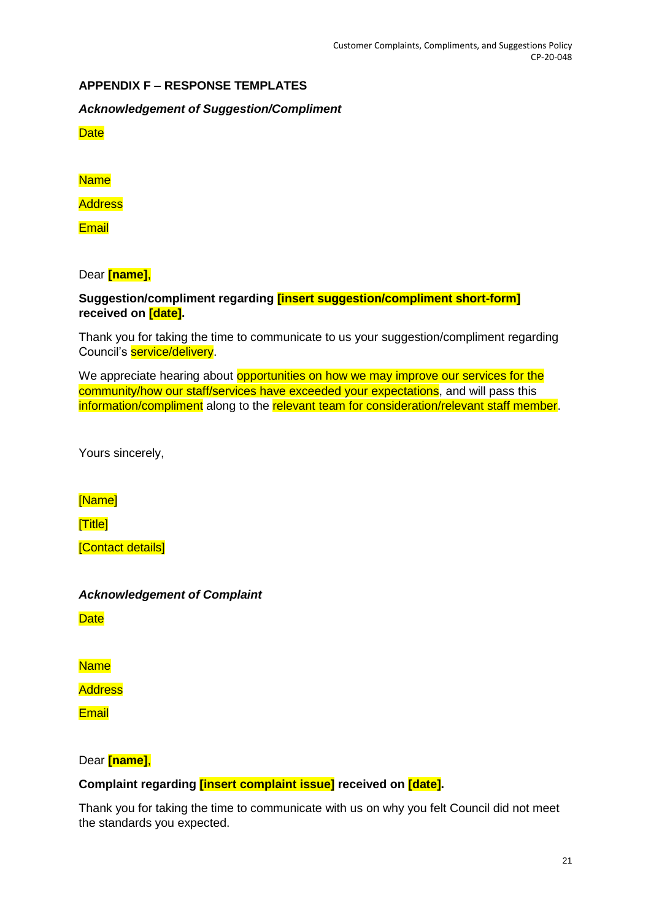## **APPENDIX F – RESPONSE TEMPLATES**

*Acknowledgement of Suggestion/Compliment*

**Date** 

**Name** 

**Address** 

**Email** 

Dear **[name]**,

## **Suggestion/compliment regarding [insert suggestion/compliment short-form] received on [date].**

Thank you for taking the time to communicate to us your suggestion/compliment regarding Council's **service/delivery**.

We appreciate hearing about opportunities on how we may improve our services for the community/how our staff/services have exceeded your expectations, and will pass this information/compliment along to the relevant team for consideration/relevant staff member.

Yours sincerely,

[Name]

[Title]

[Contact details]

### *Acknowledgement of Complaint*

**Date** 

Name

**Address** 

**Email** 

Dear **[name]**,

### **Complaint regarding [insert complaint issue] received on [date].**

Thank you for taking the time to communicate with us on why you felt Council did not meet the standards you expected.